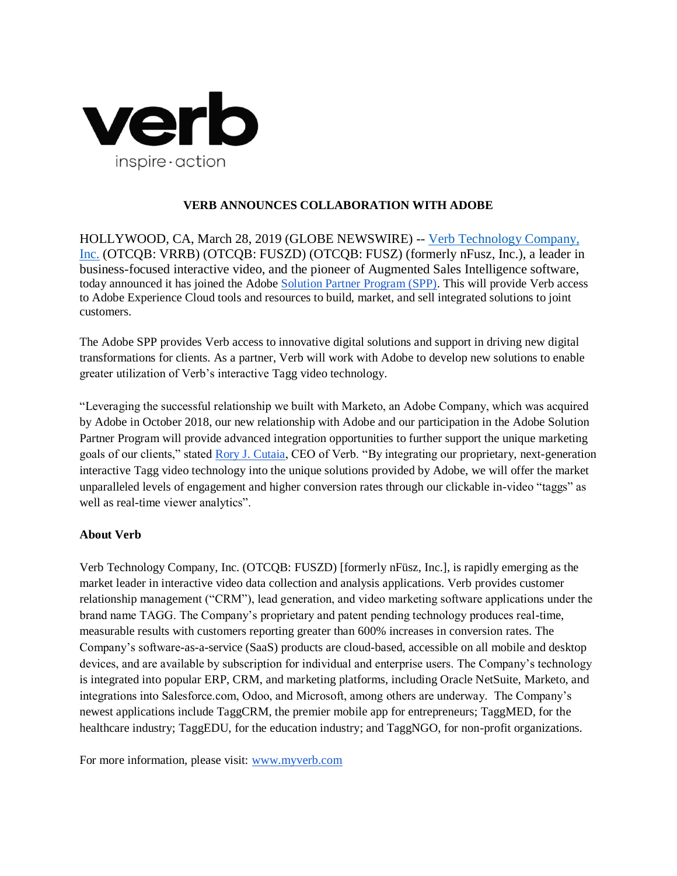

## **VERB ANNOUNCES COLLABORATION WITH ADOBE**

HOLLYWOOD, CA, March 28, 2019 (GLOBE NEWSWIRE) -- [Verb Technology Company,](https://nfusz.com/)  [Inc.](https://nfusz.com/) (OTCQB: VRRB) (OTCQB: FUSZD) (OTCQB: FUSZ) (formerly nFusz, Inc.), a leader in business-focused interactive video, and the pioneer of Augmented Sales Intelligence software, today announced it has joined the [Adobe Solution Partner Program \(SPP\).](https://www.adobe.com/partners.html) This will provide Verb access to Adobe Experience Cloud tools and resources to build, market, and sell integrated solutions to joint customers.

The Adobe SPP provides Verb access to innovative digital solutions and support in driving new digital transformations for clients. As a partner, Verb will work with Adobe to develop new solutions to enable greater utilization of Verb's interactive Tagg video technology.

"Leveraging the successful relationship we built with Marketo, an Adobe Company, which was acquired by Adobe in October 2018, our new relationship with Adobe and our participation in the Adobe Solution Partner Program will provide advanced integration opportunities to further support the unique marketing goals of our clients," stated [Rory J. Cutaia,](http://myverb.com.hosted-content.com/v2/info/5c5bd8b280301474c0531197-98GVz/d4712e1951173906703279c1b89bad1e4abec825/https%3A%2F%2Fapp.nfusz.com%2Fplayer%2F6KIjdJVQ) CEO of Verb. "By integrating our proprietary, next-generation interactive Tagg video technology into the unique solutions provided by Adobe, we will offer the market unparalleled levels of engagement and higher conversion rates through our clickable in-video "taggs" as well as real-time viewer analytics".

# **About Verb**

Verb Technology Company, Inc. (OTCQB: FUSZD) [formerly nFüsz, Inc.], is rapidly emerging as the market leader in interactive video data collection and analysis applications. Verb provides customer relationship management ("CRM"), lead generation, and video marketing software applications under the brand name TAGG. The Company's proprietary and patent pending technology produces real-time, measurable results with customers reporting greater than 600% increases in conversion rates. The Company's software-as-a-service (SaaS) products are cloud-based, accessible on all mobile and desktop devices, and are available by subscription for individual and enterprise users. The Company's technology is integrated into popular ERP, CRM, and marketing platforms, including Oracle NetSuite, Marketo, and integrations into Salesforce.com, Odoo, and Microsoft, among others are underway. The Company's newest applications include TaggCRM, the premier mobile app for entrepreneurs; TaggMED, for the healthcare industry; TaggEDU, for the education industry; and TaggNGO, for non-profit organizations.

For more information, please visit: [www.myverb.com](http://www.myverb.com/)